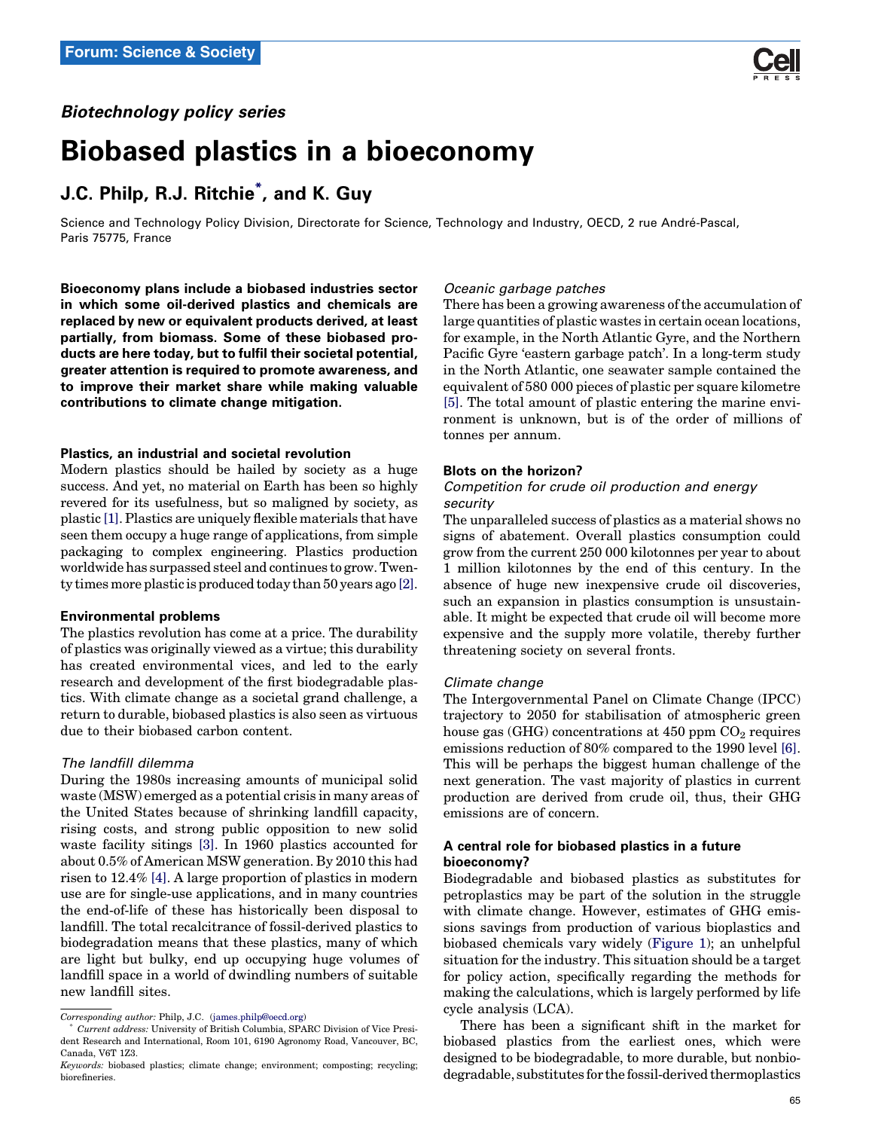### Biotechnology policy series

# Biobased plastics in a bioeconomy

## J.C. Philp, R.J. Ritchie\* , and K. Guy

Science and Technology Policy Division, Directorate for Science, Technology and Industry, OECD, 2 rue André-Pascal, Paris 75775, France

Bioeconomy plans include a biobased industries sector in which some oil-derived plastics and chemicals are replaced by new or equivalent products derived, at least partially, from biomass. Some of these biobased products are here today, but to fulfil their societal potential, greater attention is required to promote awareness, and to improve their market share while making valuable contributions to climate change mitigation.

#### Plastics, an industrial and societal revolution

Modern plastics should be hailed by society as a huge success. And yet, no material on Earth has been so highly revered for its usefulness, but so maligned by society, as plastic [\[1\].](#page-2-0) Plastics are uniquely flexible materials that have seen them occupy a huge range of applications, from simple packaging to complex engineering. Plastics production worldwide has surpassed steel and continues to grow. Twenty times more plastic is produced today than 50 years ago [\[2\]](#page-2-0).

#### Environmental problems

The plastics revolution has come at a price. The durability of plastics was originally viewed as a virtue; this durability has created environmental vices, and led to the early research and development of the first biodegradable plastics. With climate change as a societal grand challenge, a return to durable, biobased plastics is also seen as virtuous due to their biobased carbon content.

#### The landfill dilemma

During the 1980s increasing amounts of municipal solid waste (MSW) emerged as a potential crisis in many areas of the United States because of shrinking landfill capacity, rising costs, and strong public opposition to new solid waste facility sitings [\[3\].](#page-2-0) In 1960 plastics accounted for about 0.5% of American MSW generation. By 2010 this had risen to 12.4% [\[4\]](#page-2-0). A large proportion of plastics in modern use are for single-use applications, and in many countries the end-of-life of these has historically been disposal to landfill. The total recalcitrance of fossil-derived plastics to biodegradation means that these plastics, many of which are light but bulky, end up occupying huge volumes of landfill space in a world of dwindling numbers of suitable new landfill sites.

#### Oceanic garbage patches

There has been a growing awareness of the accumulation of large quantities of plastic wastes in certain ocean locations, for example, in the North Atlantic Gyre, and the Northern Pacific Gyre 'eastern garbage patch'. In a long-term study in the North Atlantic, one seawater sample contained the equivalent of 580 000 pieces of plastic per square kilometre [\[5\].](#page-2-0) The total amount of plastic entering the marine environment is unknown, but is of the order of millions of tonnes per annum.

#### Blots on the horizon?

#### Competition for crude oil production and energy security

The unparalleled success of plastics as a material shows no signs of abatement. Overall plastics consumption could grow from the current 250 000 kilotonnes per year to about 1 million kilotonnes by the end of this century. In the absence of huge new inexpensive crude oil discoveries, such an expansion in plastics consumption is unsustainable. It might be expected that crude oil will become more expensive and the supply more volatile, thereby further threatening society on several fronts.

#### Climate change

The Intergovernmental Panel on Climate Change (IPCC) trajectory to 2050 for stabilisation of atmospheric green house gas (GHG) concentrations at  $450$  ppm  $CO<sub>2</sub>$  requires emissions reduction of 80% compared to the 1990 level [\[6\]](#page-2-0). This will be perhaps the biggest human challenge of the next generation. The vast majority of plastics in current production are derived from crude oil, thus, their GHG emissions are of concern.

#### A central role for biobased plastics in a future bioeconomy?

Biodegradable and biobased plastics as substitutes for petroplastics may be part of the solution in the struggle with climate change. However, estimates of GHG emissions savings from production of various bioplastics and biobased chemicals vary widely (Figure 1); an unhelpful situation for the industry. This situation should be a target for policy action, specifically regarding the methods for making the calculations, which is largely performed by life cycle analysis (LCA).

There has been a significant shift in the market for biobased plastics from the earliest ones, which were designed to be biodegradable, to more durable, but nonbiodegradable, substitutes for the fossil-derived thermoplastics



Corresponding author: Philp, J.C. ([james.philp@oecd.org](mailto:james.philp@oecd.org))

<sup>\*</sup> Current address: University of British Columbia, SPARC Division of Vice President Research and International, Room 101, 6190 Agronomy Road, Vancouver, BC, Canada, V6T 1Z3.

Keywords: biobased plastics; climate change; environment; composting; recycling; biorefineries.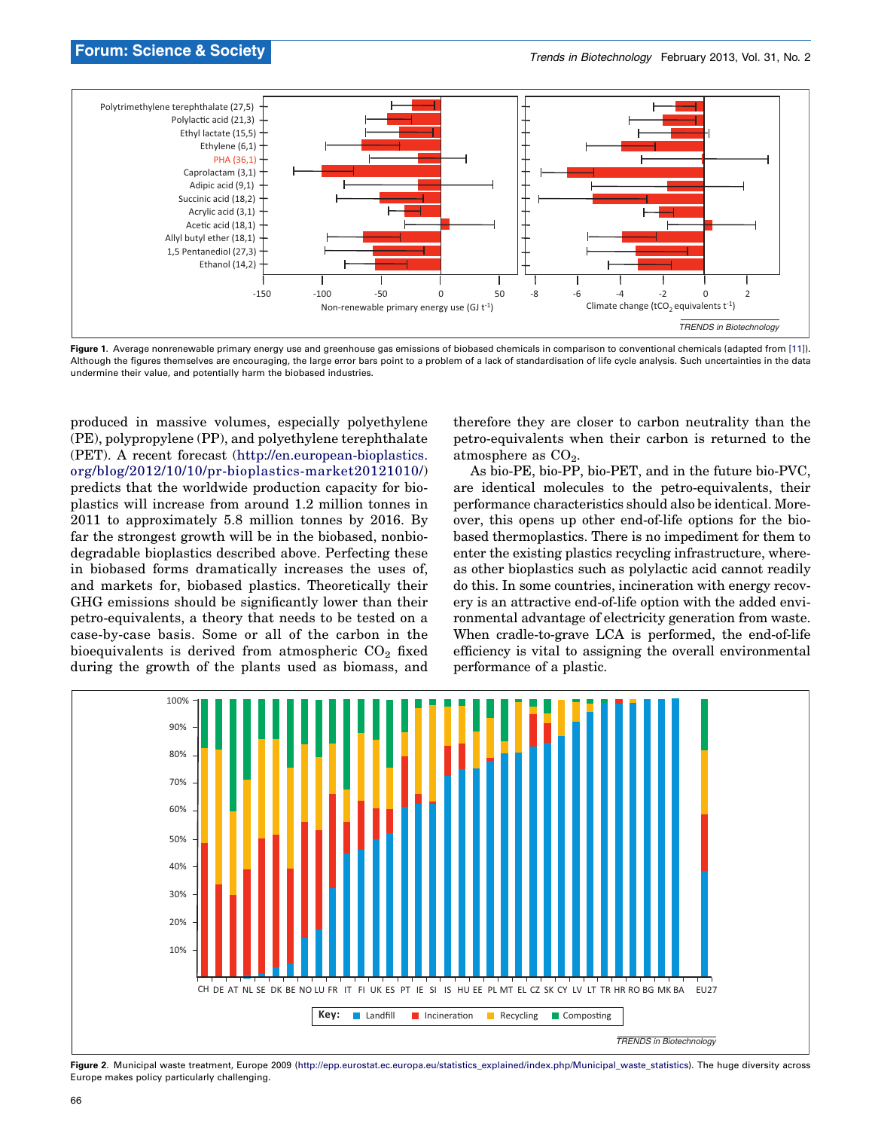

Figure 1. Average nonrenewable primary energy use and greenhouse gas emissions of biobased chemicals in comparison to conventional chemicals (adapted from [11]). Although the figures themselves are encouraging, the large error bars point to a problem of a lack of standardisation of life cycle analysis. Such uncertainties in the data undermine their value, and potentially harm the biobased industries.

produced in massive volumes, especially polyethylene (PE), polypropylene (PP), and polyethylene terephthalate (PET). A recent forecast ([http://en.european-bioplastics.](http://en.european-bioplastics.org/blog/2012/10/10/pr-bioplastics-market20121010/) [org/blog/2012/10/10/pr-bioplastics-market20121010/\)](http://en.european-bioplastics.org/blog/2012/10/10/pr-bioplastics-market20121010/) predicts that the worldwide production capacity for bioplastics will increase from around 1.2 million tonnes in 2011 to approximately 5.8 million tonnes by 2016. By far the strongest growth will be in the biobased, nonbiodegradable bioplastics described above. Perfecting these in biobased forms dramatically increases the uses of, and markets for, biobased plastics. Theoretically their GHG emissions should be significantly lower than their petro-equivalents, a theory that needs to be tested on a case-by-case basis. Some or all of the carbon in the bioequivalents is derived from atmospheric  $CO<sub>2</sub>$  fixed during the growth of the plants used as biomass, and therefore they are closer to carbon neutrality than the petro-equivalents when their carbon is returned to the atmosphere as  $CO<sub>2</sub>$ .

As bio-PE, bio-PP, bio-PET, and in the future bio-PVC, are identical molecules to the petro-equivalents, their performance characteristics should also be identical. Moreover, this opens up other end-of-life options for the biobased thermoplastics. There is no impediment for them to enter the existing plastics recycling infrastructure, whereas other bioplastics such as polylactic acid cannot readily do this. In some countries, incineration with energy recovery is an attractive end-of-life option with the added environmental advantage of electricity generation from waste. When cradle-to-grave LCA is performed, the end-of-life efficiency is vital to assigning the overall environmental performance of a plastic.



Figure 2. Municipal waste treatment, Europe 2009 [\(http://epp.eurostat.ec.europa.eu/statistics\\_explained/index.php/Municipal\\_waste\\_statistics\)](http://epp.eurostat.ec.europa.eu/statistics_explained/index.php/Municipal_waste_statistics). The huge diversity across Europe makes policy particularly challenging.